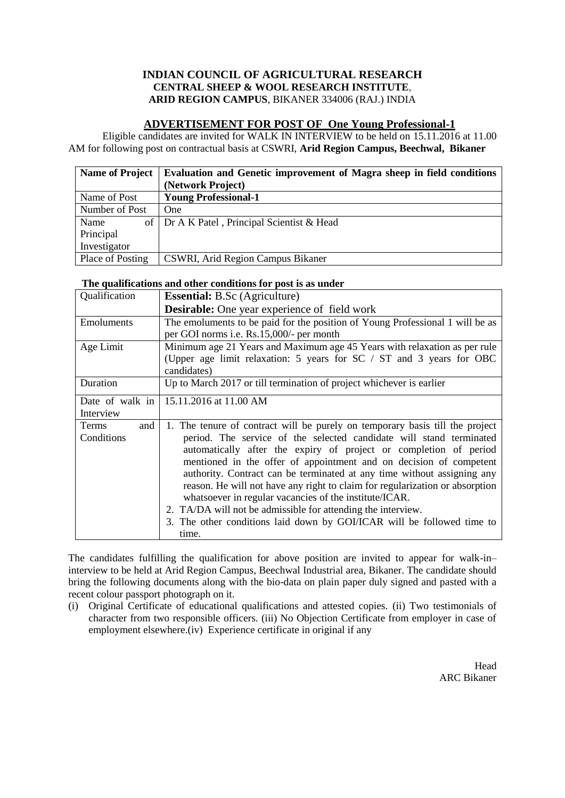## **INDIAN COUNCIL OF AGRICULTURAL RESEARCH CENTRAL SHEEP & WOOL RESEARCH INSTITUTE**, **ARID REGION CAMPUS**, BIKANER 334006 (RAJ.) INDIA

## **ADVERTISEMENT FOR POST OF One Young Professional-1**

Eligible candidates are invited for WALK IN INTERVIEW to be held on 15.11.2016 at 11.00 AM for following post on contractual basis at CSWRI, **Arid Region Campus, Beechwal, Bikaner**

| <b>Name of Project</b> | Evaluation and Genetic improvement of Magra sheep in field conditions |  |  |  |
|------------------------|-----------------------------------------------------------------------|--|--|--|
|                        | (Network Project)                                                     |  |  |  |
| Name of Post           | <b>Young Professional-1</b>                                           |  |  |  |
| Number of Post         | <b>One</b>                                                            |  |  |  |
| Name                   | of   Dr A K Patel, Principal Scientist & Head                         |  |  |  |
| Principal              |                                                                       |  |  |  |
| Investigator           |                                                                       |  |  |  |
| Place of Posting       | CSWRI, Arid Region Campus Bikaner                                     |  |  |  |

## **The qualifications and other conditions for post is as under**

| Qualification | <b>Essential:</b> B.Sc (Agriculture)                                          |  |  |  |  |
|---------------|-------------------------------------------------------------------------------|--|--|--|--|
|               | <b>Desirable:</b> One year experience of field work                           |  |  |  |  |
| Emoluments    | The emoluments to be paid for the position of Young Professional 1 will be as |  |  |  |  |
|               | per GOI norms <i>i.e.</i> Rs.15,000/- per month                               |  |  |  |  |
| Age Limit     | Minimum age 21 Years and Maximum age 45 Years with relaxation as per rule     |  |  |  |  |
|               | (Upper age limit relaxation: 5 years for SC / ST and 3 years for OBC          |  |  |  |  |
|               | candidates)                                                                   |  |  |  |  |
| Duration      | Up to March 2017 or till termination of project whichever is earlier          |  |  |  |  |
|               | Date of walk in   $15.11.2016$ at 11.00 AM                                    |  |  |  |  |
| Interview     |                                                                               |  |  |  |  |
| Terms<br>and  | 1. The tenure of contract will be purely on temporary basis till the project  |  |  |  |  |
| Conditions    | period. The service of the selected candidate will stand terminated           |  |  |  |  |
|               | automatically after the expiry of project or completion of period             |  |  |  |  |
|               | mentioned in the offer of appointment and on decision of competent            |  |  |  |  |
|               | authority. Contract can be terminated at any time without assigning any       |  |  |  |  |
|               | reason. He will not have any right to claim for regularization or absorption  |  |  |  |  |
|               | whatsoever in regular vacancies of the institute/ICAR.                        |  |  |  |  |
|               | 2. TA/DA will not be admissible for attending the interview.                  |  |  |  |  |
|               | 3. The other conditions laid down by GOI/ICAR will be followed time to        |  |  |  |  |
|               | time.                                                                         |  |  |  |  |

The candidates fulfilling the qualification for above position are invited to appear for walk-in– interview to be held at Arid Region Campus, Beechwal Industrial area, Bikaner. The candidate should bring the following documents along with the bio-data on plain paper duly signed and pasted with a recent colour passport photograph on it.

(i) Original Certificate of educational qualifications and attested copies. (ii) Two testimonials of character from two responsible officers. (iii) No Objection Certificate from employer in case of employment elsewhere.(iv) Experience certificate in original if any

> Head ARC Bikaner